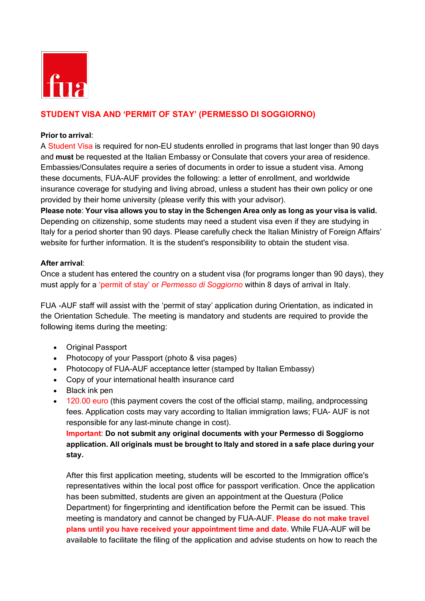

## **STUDENT VISA AND 'PERMIT OF STAY' (PERMESSO DI SOGGIORNO)**

## **Prior to arrival**:

A Student Visa is required for non-EU students enrolled in programs that last longer than 90 days and **must** be requested at the Italian Embassy or Consulate that covers your area of residence. Embassies/Consulates require a series of documents in order to issue a student visa. Among these documents, FUA-AUF provides the following: a letter of enrollment, and worldwide insurance coverage for studying and living abroad, unless a student has their own policy or one provided by their home university (please verify this with your advisor).

Please note: Your visa allows you to stay in the Schengen Area only as long as your visa is valid. Depending on citizenship, some students may need a student visa even if they are studying in Italy for a period shorter than 90 days. Please carefully check the Italian Ministry of Foreign Affairs' website for further information. It is the student's responsibility to obtain the student visa.

## **After arrival**:

Once a student has entered the country on a student visa (for programs longer than 90 days), they must apply for a 'permit of stay' or *Permesso di Soggiorno* within 8 days of arrival in Italy.

FUA -AUF staff will assist with the 'permit of stay' application during Orientation, as indicated in the Orientation Schedule. The meeting is mandatory and students are required to provide the following items during the meeting:

- Original Passport
- Photocopy of your Passport (photo & visa pages)
- Photocopy of FUA-AUF acceptance letter (stamped by Italian Embassy)
- Copy of your international health insurance card
- Black ink pen
- 120.00 euro (this payment covers the cost of the official stamp, mailing, andprocessing fees. Application costs may vary according to Italian immigration laws; FUA- AUF is not responsible for any last-minute change in cost).

**Important**: **Do not submit any original documents with your Permesso di Soggiorno application. All originals must be brought to Italy and stored in a safe place during your stay.**

After this first application meeting, students will be escorted to the Immigration office's representatives within the local post office for passport verification. Once the application has been submitted, students are given an appointment at the Questura (Police Department) for fingerprinting and identification before the Permit can be issued. This meeting is mandatory and cannot be changed by FUA-AUF. **Please do not make travel plans until you have received your appointment time and date.** While FUA-AUF will be available to facilitate the filing of the application and advise students on how to reach the